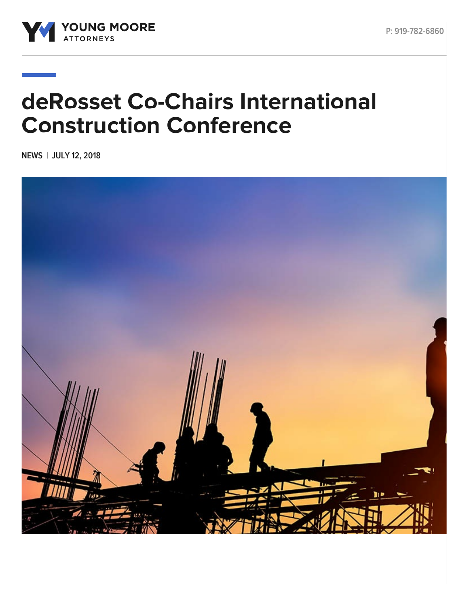



## **deRosset Co-Chairs International Construction Conference**

**NEWS | JULY 12, 2018**

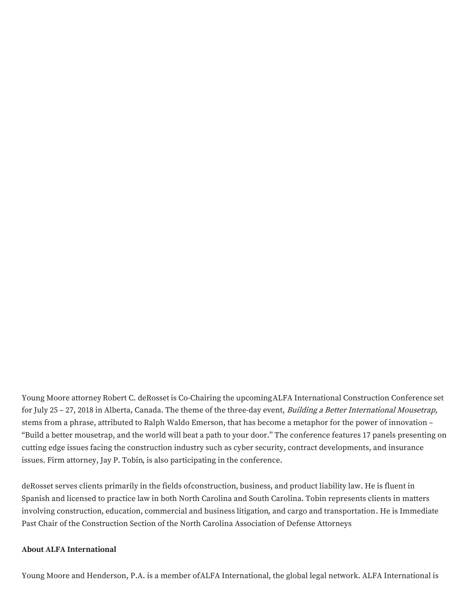Young Moore attorney Robert C. [deRosset](https://www.youngmoorelaw.com/people/attorneys/robert-c-derosset/) is Co-Chairing the upcomingALFA [International](https://www.youngmoorelaw.com/events/alfa-international-construction-seminar/) Construction Conference set for July 25 – 27, 2018 in Alberta, Canada. The theme of the three-day event, *Building a Better International Mousetrap*, stems from a phrase, attributed to Ralph Waldo Emerson, that has become a metaphor for the power of innovation – "Build a better mousetrap, and the world will beat a path to your door." The conference features 17 panels presenting on cutting edge issues facing the construction industry such as cyber security, contract developments, and insurance issues. Firm attorney, Jay P. [Tobin,](https://www.youngmoorelaw.com/people/attorneys/jay-p-tobin/) is also participating in the conference.

deRosset serves clients primarily in the fields o[fconstruction](https://www.youngmoorelaw.com/services/construction-law/), [business](https://www.youngmoorelaw.com/services/business-litigation/), and [product](https://www.youngmoorelaw.com/services/product-liability/) liability law. He is fluent in Spanish and licensed to practice law in both North Carolina and South Carolina. Tobin represents clients in matters involving [construction](https://www.youngmoorelaw.com/services/construction-law/), [education](https://www.youngmoorelaw.com/services/education-law/), [commercial](https://www.youngmoorelaw.com/services/business-litigation/) and business litigation, and cargo and [transportation](https://www.youngmoorelaw.com/practice-areas/trucking/). He is Immediate Past Chair of the Construction Section of the North Carolina Association of Defense Attorneys

## **About ALFA International**

Young Moore and Henderson, P.A. is a member ofALFA [International](https://www.alfainternational.com/), the global legal network. ALFA International is